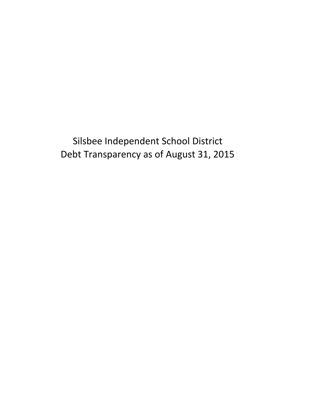Silsbee Independent School District Debt Transparency as of August 31, 2015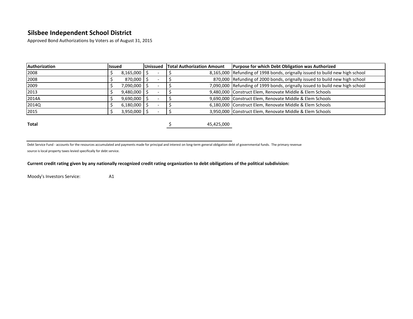Approved Bond Authorizations by Voters as of August 31, 2015

| Authorization | <b>lissued</b> |           | <b>Unissued</b> | <b>Total Authorization Amount</b> | <b>Purpose for which Debt Obligation was Authorized</b>                      |  |  |  |  |  |
|---------------|----------------|-----------|-----------------|-----------------------------------|------------------------------------------------------------------------------|--|--|--|--|--|
| 2008          |                | 8,165,000 |                 |                                   | 8,165,000 Refunding of 1998 bonds, orignally issued to build new high school |  |  |  |  |  |
| 2008          |                | 870,000   |                 |                                   | 870,000 Refunding of 2000 bonds, orignally issued to build new high school   |  |  |  |  |  |
| 2009          |                | 7,090,000 |                 |                                   | 7,090,000 Refunding of 1999 bonds, orignally issued to build new high school |  |  |  |  |  |
| 2013          |                | 9,480,000 |                 |                                   | 9,480,000 Construct Elem, Renovate Middle & Elem Schools                     |  |  |  |  |  |
| 2014A         |                | 9,690,000 |                 |                                   | 9,690,000 Construct Elem, Renovate Middle & Elem Schools                     |  |  |  |  |  |
| 2014Q         |                | 6,180,000 |                 |                                   | 6,180,000 Construct Elem, Renovate Middle & Elem Schools                     |  |  |  |  |  |
| 2015          |                | 3,950,000 |                 |                                   | 3,950,000 Construct Elem, Renovate Middle & Elem Schools                     |  |  |  |  |  |
|               |                |           |                 |                                   |                                                                              |  |  |  |  |  |
| Total         |                |           |                 | 45,425,000                        |                                                                              |  |  |  |  |  |

Debt Service Fund - accounts for the resources accumulated and payments made for principal and interest on long-term general obligation debt of governmental funds. The primary revenue source is local property taxes levied specifically for debt service.

#### **Current credit rating given by any nationally recognized credit rating organization to debt obiligations of the political subdivision:**

Moody's Investors Service: A1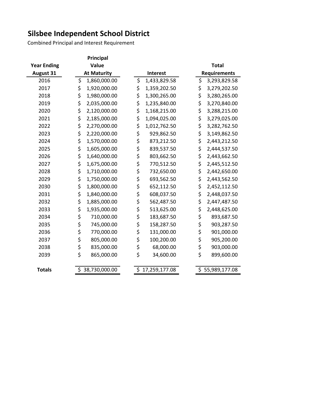Combined Principal and Interest Requirement

|                    | Principal          |  |    |                 |              |    |                     |  |  |  |  |
|--------------------|--------------------|--|----|-----------------|--------------|----|---------------------|--|--|--|--|
| <b>Year Ending</b> | Value              |  |    |                 | <b>Total</b> |    |                     |  |  |  |  |
| August 31          | <b>At Maturity</b> |  |    | <b>Interest</b> |              |    | <b>Requirements</b> |  |  |  |  |
| 2016               | \$<br>1,860,000.00 |  | \$ | 1,433,829.58    |              | \$ | 3,293,829.58        |  |  |  |  |
| 2017               | \$<br>1,920,000.00 |  | \$ | 1,359,202.50    |              | \$ | 3,279,202.50        |  |  |  |  |
| 2018               | \$<br>1,980,000.00 |  | \$ | 1,300,265.00    |              | \$ | 3,280,265.00        |  |  |  |  |
| 2019               | \$<br>2,035,000.00 |  | \$ | 1,235,840.00    |              | \$ | 3,270,840.00        |  |  |  |  |
| 2020               | \$<br>2,120,000.00 |  | \$ | 1,168,215.00    |              | \$ | 3,288,215.00        |  |  |  |  |
| 2021               | \$<br>2,185,000.00 |  | \$ | 1,094,025.00    |              | \$ | 3,279,025.00        |  |  |  |  |
| 2022               | \$<br>2,270,000.00 |  | \$ | 1,012,762.50    |              | \$ | 3,282,762.50        |  |  |  |  |
| 2023               | \$<br>2,220,000.00 |  | \$ | 929,862.50      |              | \$ | 3,149,862.50        |  |  |  |  |
| 2024               | \$<br>1,570,000.00 |  | \$ | 873,212.50      |              | \$ | 2,443,212.50        |  |  |  |  |
| 2025               | \$<br>1,605,000.00 |  | \$ | 839,537.50      |              | \$ | 2,444,537.50        |  |  |  |  |
| 2026               | \$<br>1,640,000.00 |  | \$ | 803,662.50      |              | \$ | 2,443,662.50        |  |  |  |  |
| 2027               | \$<br>1,675,000.00 |  | \$ | 770,512.50      |              | \$ | 2,445,512.50        |  |  |  |  |
| 2028               | \$<br>1,710,000.00 |  | \$ | 732,650.00      |              | \$ | 2,442,650.00        |  |  |  |  |
| 2029               | \$<br>1,750,000.00 |  | \$ | 693,562.50      |              | \$ | 2,443,562.50        |  |  |  |  |
| 2030               | \$<br>1,800,000.00 |  | \$ | 652,112.50      |              | \$ | 2,452,112.50        |  |  |  |  |
| 2031               | \$<br>1,840,000.00 |  | \$ | 608,037.50      |              | \$ | 2,448,037.50        |  |  |  |  |
| 2032               | \$<br>1,885,000.00 |  | \$ | 562,487.50      |              | \$ | 2,447,487.50        |  |  |  |  |
| 2033               | \$<br>1,935,000.00 |  | \$ | 513,625.00      |              | \$ | 2,448,625.00        |  |  |  |  |
| 2034               | \$<br>710,000.00   |  | \$ | 183,687.50      |              | \$ | 893,687.50          |  |  |  |  |
| 2035               | \$<br>745,000.00   |  | \$ | 158,287.50      |              | \$ | 903,287.50          |  |  |  |  |
| 2036               | \$<br>770,000.00   |  | \$ | 131,000.00      |              | \$ | 901,000.00          |  |  |  |  |
| 2037               | \$<br>805,000.00   |  | \$ | 100,200.00      |              | \$ | 905,200.00          |  |  |  |  |
| 2038               | \$<br>835,000.00   |  | \$ | 68,000.00       |              | \$ | 903,000.00          |  |  |  |  |
| 2039               | \$<br>865,000.00   |  | \$ | 34,600.00       |              | \$ | 899,600.00          |  |  |  |  |
| <b>Totals</b>      | 38,730,000.00      |  | \$ | 17,259,177.08   |              |    | 55,989,177.08       |  |  |  |  |
|                    |                    |  |    |                 |              |    |                     |  |  |  |  |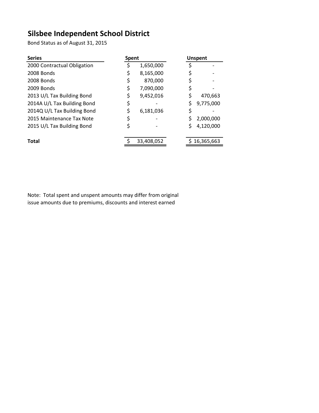Bond Status as of August 31, 2015

| <b>Series</b>               |    | <b>Spent</b> | <b>Unspent</b>  |
|-----------------------------|----|--------------|-----------------|
| 2000 Contractual Obligation |    | 1,650,000    |                 |
| 2008 Bonds                  | \$ | 8,165,000    |                 |
| 2008 Bonds                  | \$ | 870,000      |                 |
| 2009 Bonds                  | \$ | 7,090,000    |                 |
| 2013 U/L Tax Building Bond  | \$ | 9,452,016    | 470,663         |
| 2014A U/L Tax Building Bond | \$ |              | \$<br>9,775,000 |
| 2014Q U/L Tax Building Bond | \$ | 6,181,036    | \$              |
| 2015 Maintenance Tax Note   | \$ |              | 2,000,000       |
| 2015 U/L Tax Building Bond  | \$ |              | 4,120,000       |
| <b>Total</b>                |    | 33,408,052   | 16,365,663      |

Note: Total spent and unspent amounts may differ from original issue amounts due to premiums, discounts and interest earned